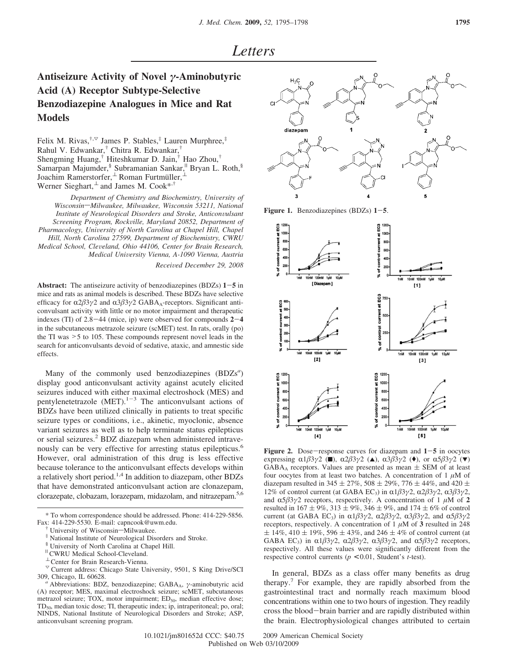## **Antiseizure Activity of Novel** *γ***-Aminobutyric Acid (A) Receptor Subtype-Selective Benzodiazepine Analogues in Mice and Rat Models**

Felix M. Rivas,<sup>†, $\triangledown$ </sup> James P. Stables,<sup>‡</sup> Lauren Murphree,<sup>‡</sup> Rahul V. Edwankar,† Chitra R. Edwankar,† Shengming Huang,† Hiteshkumar D. Jain,† Hao Zhou,† Samarpan Majumder,<sup>§</sup> Subramanian Sankar,<sup>||</sup> Bryan L. Roth,<sup>§</sup> Joachim Ramerstorfer,<sup>⊥</sup> Roman Furtmüller, Werner Sieghart, $\perp$  and James M. Cook\*,†

*Department of Chemistry and Biochemistry, University of*  $W is consin-Milwaukee,$  Milwaukee, Wisconsin 53211, National *Institute of Neurological Disorders and Stroke, Anticonvulsant Screening Program, Rockville, Maryland 20852, Department of Pharmacology, University of North Carolina at Chapel Hill, Chapel Hill, North Carolina 27599, Department of Biochemistry, CWRU Medical School, Cle*V*eland, Ohio 44106, Center for Brain Research, Medical Uni*V*ersity Vienna, A-1090 Vienna, Austria Recei*V*ed December 29, 2008*

**Abstract:** The antiseizure activity of benzodiazepines (BDZs) **<sup>1</sup>**-**<sup>5</sup>** in mice and rats as animal models is described. These BDZs have selective efficacy for α2β3γ2 and α3β3γ2 GABA<sub>A</sub>-receptors. Significant anticonvulsant activity with little or no motor impairment and therapeutic indexes (TI) of 2.8-44 (mice, ip) were observed for compounds **<sup>2</sup>**-**<sup>4</sup>** in the subcutaneous metrazole seizure (scMET) test. In rats, orally (po) the TI was >5 to 105. These compounds represent novel leads in the search for anticonvulsants devoid of sedative, ataxic, and amnestic side effects.

Many of the commonly used benzodiazepines (BDZs<sup>a</sup>) display good anticonvulsant activity against acutely elicited seizures induced with either maximal electroshock (MES) and pentylenetetrazole  $(MET)$ <sup>1-3</sup> The anticonvulsant actions of BDZs have been utilized clinically in patients to treat specific seizure types or conditions, i.e., akinetic, myoclonic, absence variant seizures as well as to help terminate status epilepticus or serial seizures.<sup>2</sup> BDZ diazepam when administered intravenously can be very effective for arresting status epilepticus.<sup>6</sup> However, oral administration of this drug is less effective because tolerance to the anticonvulsant effects develops within a relatively short period.1,4 In addition to diazepam, other BDZs that have demonstrated anticonvulsant action are clonazepam, clorazepate, clobazam, lorazepam, midazolam, and nitrazepam.5,6

 $\heartsuit$  Current address: Chicago State University, 9501, S King Drive/SCI 309, Chicago, IL 60628. *<sup>a</sup>* Abbreviations: BDZ, benzodiazepine; GABAA, *<sup>γ</sup>*-aminobutyric acid



**Figure 1.** Benzodiazepines (BDZs) **<sup>1</sup>**-**5**.



**Figure 2.** Dose-response curves for diazepam and  $1-5$  in oocytes expressing  $\alpha$ 1*β*3*γ*2 (■),  $\alpha$ 2*β*3*γ*2 (▲),  $\alpha$ 3*β*3*γ*2 (◆), or  $\alpha$ 5*β*3*γ*2 (▼)  $GABA_A$  receptors. Values are presented as mean  $\pm$  SEM of at least four oocytes from at least two batches. A concentration of 1 *µ*M of diazepam resulted in 345  $\pm$  27%, 508  $\pm$  29%, 776  $\pm$  44%, and 420  $\pm$ 12% of control current (at GABA EC<sub>3</sub>) in α1β3γ2, α2β3γ2, α3β3γ2, and  $\alpha 5\beta 3\gamma 2$  receptors, respectively. A concentration of 1  $\mu$ M of 2 resulted in 167  $\pm$  9%, 313  $\pm$  9%, 346  $\pm$  9%, and 174  $\pm$  6% of control current (at GABA EC<sub>3</sub>) in α1β3γ2, α2β3γ2, α3β3γ2, and α5β3γ2 receptors, respectively. A concentration of 1 *µ*M of **3** resulted in 248  $\pm$  14%, 410  $\pm$  19%, 596  $\pm$  43%, and 246  $\pm$  4% of control current (at GABA EC<sub>3</sub>) in  $\alpha$ 1 $\beta$ 3 $\gamma$ 2,  $\alpha$ 2 $\beta$ 3 $\gamma$ 2,  $\alpha$ 3 $\beta$ 3 $\gamma$ 2, and  $\alpha$ 5 $\beta$ 3 $\gamma$ 2 receptors, respectively. All these values were significantly different from the respective control currents (*p* < 0.01, Student's *t*-test).

In general, BDZs as a class offer many benefits as drug therapy.<sup>7</sup> For example, they are rapidly absorbed from the gastrointestinal tract and normally reach maximum blood concentrations within one to two hours of ingestion. They readily cross the blood-brain barrier and are rapidly distributed within the brain. Electrophysiological changes attributed to certain

10.1021/jm801652d CCC: \$40.75 2009 American Chemical Society Published on Web 03/10/2009

<sup>\*</sup> To whom correspondence should be addressed. Phone: 414-229-5856. Fax: 414-229-5530. E-mail: capncook@uwm.edu.

University of Wisconsin-Milwaukee.

National Institute of Neurological Disorders and Stroke.

<sup>§</sup> University of North Carolina at Chapel Hill.

<sup>&</sup>lt;sup>"</sup> CWRU Medical School-Cleveland."

 $^{\perp}$  Center for Brain Research-Vienna.

<sup>(</sup>A) receptor; MES, maximal electroshock seizure; scMET, subcutaneous metrazol seizure; TOX, motor impairment; ED<sub>50</sub>, median effective dose; TD<sub>50</sub>, median toxic dose; TI, therapeutic index; ip, intraperitoneal; po, oral; NINDS, National Institute of Neurological Disorders and Stroke; ASP, anticonvulsant screening program.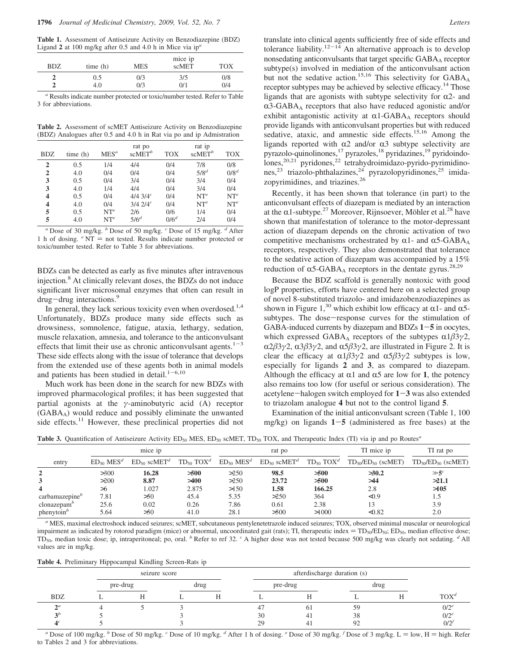**Table 1.** Assessment of Antiseizure Activity on Benzodiazepine (BDZ) Ligand **2** at 100 mg/kg after 0.5 and 4.0 h in Mice via ip*<sup>a</sup>*

| <b>BDZ</b> | time(h) | <b>MES</b> | mice ip<br>scMET | <b>TOX</b> |
|------------|---------|------------|------------------|------------|
|            | 0.5     | 0/3        | 3/5              | 0/8        |
|            | 4.0     | 0/3        | 0/1              | 0/4        |

<sup>*Results indicate number protected or toxic/number tested. Refer to Table*</sup> 3 for abbreviations.

**Table 2.** Assessment of scMET Antiseizure Activity on Benzodiazepine (BDZ) Analogues after 0.5 and 4.0 h in Rat via po and ip Admistration

| <b>BDZ</b>              | time(h) | $MES^a$ | rat po<br>scMET <sup>b</sup> | <b>TOX</b> | rat ip<br>$scMET^{b}$ | <b>TOX</b> |
|-------------------------|---------|---------|------------------------------|------------|-----------------------|------------|
| 2                       | 0.5     | 1/4     | 4/4                          | 0/4        | 7/8                   | 0/8        |
| 2                       | 4.0     | 0/4     | 0/4                          | 0/4        | $5/8^d$               | $0/8^d$    |
| 3                       | 0.5     | 0/4     | 3/4                          | 0/4        | 3/4                   | 0/4        |
| 3                       | 4.0     | 1/4     | 4/4                          | 0/4        | 3/4                   | 0/4        |
| $\overline{\mathbf{4}}$ | 0.5     | 0/4     | $4/4$ 3/4 <sup>c</sup>       | 0/4        | $NT^e$                | $NT^e$     |
| 4                       | 4.0     | 0/4     | $3/4$ $2/4$ <sup>c</sup>     | 0/4        | $NT^e$                | $NT^e$     |
| 5                       | 0.5     | $NT^e$  | 2/6                          | 0/6        | 1/4                   | 0/4        |
| 5                       | 4.0     | $NT^e$  | $5/6^d$                      | $0/6^d$    | 2/4                   | 0/4        |

*<sup>a</sup>* Dose of 30 mg/kg. *<sup>b</sup>* Dose of 50 mg/kg. *<sup>c</sup>* Dose of 15 mg/kg. *<sup>d</sup>* After 1 h of dosing.  $\epsilon$  NT = not tested. Results indicate number protected or toxic/number tested. Refer to Table 3 for abbreviations.

BDZs can be detected as early as five minutes after intravenous injection.8 At clinically relevant doses, the BDZs do not induce significant liver microsomal enzymes that often can result in  $d$ rug $-d$ rug interactions.<sup>9</sup>

In general, they lack serious toxicity even when overdosed.<sup>1,4</sup> Unfortunately, BDZs produce many side effects such as drowsiness, somnolence, fatigue, ataxia, lethargy, sedation, muscle relaxation, amnesia, and tolerance to the anticonvulsant effects that limit their use as chronic anticonvulsant agents. $1^{-3}$ These side effects along with the issue of tolerance that develops from the extended use of these agents both in animal models and patients has been studied in detail. $1-6,10$ 

Much work has been done in the search for new BDZs with improved pharmacological profiles; it has been suggested that partial agonists at the *γ*-aminobutyric acid (A) receptor (GABAA) would reduce and possibly eliminate the unwanted side effects.<sup>11</sup> However, these preclinical properties did not translate into clinical agents sufficiently free of side effects and tolerance liability. $12^{-14}$  An alternative approach is to develop nonsedating anticonvulsants that target specific GABAA receptor subtype(s) involved in mediation of the anticonvulsant action but not the sedative action.<sup>15,16</sup> This selectivity for GABA<sub>A</sub> receptor subtypes may be achieved by selective efficacy.<sup>14</sup> Those ligands that are agonists with subtype selectivity for  $\alpha$ 2- and  $\alpha$ 3-GABA<sub>A</sub> receptors that also have reduced agonistic and/or exhibit antagonistic activity at  $\alpha$ 1-GABA<sub>A</sub> receptors should provide ligands with anticonvulsant properties but with reduced sedative, ataxic, and amnestic side effects.<sup>15,16</sup> Among the ligands reported with  $\alpha$ 2 and/or  $\alpha$ 3 subtype selectivity are pyrazolo-quinolinones,<sup>17</sup> pyrazoles,<sup>18</sup> pyridazines,<sup>19</sup> pyridoindo- $\lim_{x\to 0}e^{20,21}$  pyridones,<sup>22</sup> tetrahydroimidazo-pyrido-pyrimidinones,<sup>23</sup> triazolo-phthalazines,<sup>24</sup> pyrazolopyridinones,<sup>25</sup> imidazopyrimidines, and triazines.<sup>26</sup>

Recently, it has been shown that tolerance (in part) to the anticonvulsant effects of diazepam is mediated by an interaction at the  $\alpha$ 1-subtype.<sup>27</sup> Moreover, Rijnsoever, Möhler et al.<sup>28</sup> have shown that manifestation of tolerance to the motor-depressant action of diazepam depends on the chronic activation of two competitive mechanisms orchestrated by  $\alpha$ 1- and  $\alpha$ 5-GABA<sub>A</sub> receptors, respectively. They also demonstrated that tolerance to the sedative action of diazepam was accompanied by a 15% reduction of  $\alpha$ 5-GABA<sub>A</sub> receptors in the dentate gyrus.<sup>28,29</sup>

Because the BDZ scaffold is generally nontoxic with good logP properties, efforts have centered here on a selected group of novel 8-substituted triazolo- and imidazobenzodiazepines as shown in Figure 1,<sup>30</sup> which exhibit low efficacy at  $\alpha$ 1- and  $\alpha$ 5subtypes. The dose-response curves for the stimulation of GABA-induced currents by diazepam and BDZs **<sup>1</sup>**-**<sup>5</sup>** in oocytes, which expressed GABA<sub>A</sub> receptors of the subtypes  $\alpha$ 1 $\beta$ 3 $\gamma$ 2,  $\alpha$ 2 $\beta$ 3*γ*2,  $\alpha$ 3 $\beta$ 3*γ*2, and  $\alpha$ 5 $\beta$ 3*γ*2, are illustrated in Figure 2. It is clear the efficacy at  $\alpha$ 1 $\beta$ 3*γ*2 and  $\alpha$ 5 $\beta$ 3*γ*2 subtypes is low, especially for ligands **2** and **3**, as compared to diazepam. Although the efficacy at  $\alpha$ 1 and  $\alpha$ 5 are low for 1, the potency also remains too low (for useful or serious consideration). The acetylene-halogen switch employed for **<sup>1</sup>**-**<sup>3</sup>** was also extended to triazolam analogue **4** but not to the control ligand **5**.

Examination of the initial anticonvulsant screen (Table 1, 100 mg/kg) on ligands **<sup>1</sup>**-**<sup>5</sup>** (administered as free bases) at the

**Table 3.** Quantification of Antiseizure Activity ED<sub>50</sub> MES, ED<sub>50</sub> scMET, TD<sub>50</sub> TOX, and Therapeutic Index (TI) via ip and po Routes<sup>*a*</sup>

| mice ip                                                    |                            |                              | rat po                |                            |                              | TI mice ip             | TI rat po                 |                               |
|------------------------------------------------------------|----------------------------|------------------------------|-----------------------|----------------------------|------------------------------|------------------------|---------------------------|-------------------------------|
| entry                                                      | $ED_{50}$ MES <sup>d</sup> | $ED_{50}$ scMET <sup>d</sup> | $TD_{50}$ $TOX^d$     | $ED_{50}$ MES <sup>d</sup> | $ED_{50}$ scMET <sup>d</sup> | $TD_{50}$ $TOX^d$      | $TD_{50}/ED_{50}$ (scMET) | $TD_{50}/ED_{50}$ (scMET)     |
| $\mathbf{2}$<br>$\overline{\mathbf{4}}$                    | >300<br>>200<br>> 6        | 16.28<br>8.87<br>1.027       | >500<br>>400<br>2.875 | >250<br>>250<br>>150       | 98.5<br>23.72<br>1.58        | >500<br>>500<br>166.25 | >30.2<br>>44<br>2.8       | $\gg$ 5 $^c$<br>>21.1<br>>105 |
| carbanazepine <sup>b</sup><br>clonazepam'<br>$phenytoin^b$ | 7.81<br>25.6<br>5.64       | >50<br>0.02<br>>50           | 45.4<br>0.26<br>41.0  | 5.35<br>7.86<br>28.1       | >250<br>0.61<br>>500         | 364<br>2.38<br>>1000   | < 0.9<br>13<br>< 0.82     | 1.5<br>3.9<br>2.0             |

*<sup>a</sup>* MES, maximal electroshock induced seizures; scMET, subcutaneous pentylenetetrazole induced seizures; TOX, observed minimal muscular or neurological impairment as indicated by rotorod paradigm (mice) or abnormal, uncoordinated gait (rats); TI, therapeutic index =  $TD_{50}/ED_{50}$ ; ED<sub>50</sub>, median effective dose; TD<sub>50</sub>, median toxic dose; ip, intraperitoneal; po, oral. <sup>*b*</sup> Refer to ref 32. <sup>*c*</sup> A higher dose was not tested because 500 mg/kg was clearly not sedating. <sup>*d*</sup> All values are in mg/kg.

**Table 4.** Preliminary Hippocampal Kindling Screen-Rats ip

|               | seizure score |          |  |      |    | afterdischarge duration (s) |    |      |                  |
|---------------|---------------|----------|--|------|----|-----------------------------|----|------|------------------|
|               |               | pre-drug |  | drug |    | pre-drug                    |    | drug |                  |
| <b>BDZ</b>    |               |          |  |      |    |                             |    |      | TOX <sup>d</sup> |
| $\bigwedge a$ |               |          |  |      | 47 |                             | 59 |      | $0/2^e$          |
| $\mathcal{P}$ |               |          |  |      | 30 |                             | 38 |      | $0/2^e$          |
|               |               |          |  |      | 29 |                             | 92 |      | 0/2              |

*a* Dose of 100 mg/kg. *b* Dose of 50 mg/kg. *c* Dose of 10 mg/kg. *d* After 1 h of dosing. *e* Dose of 30 mg/kg. *f* Dose of 3 mg/kg. L = low, H = high. Refer to Tables 2 and 3 for abbreviations.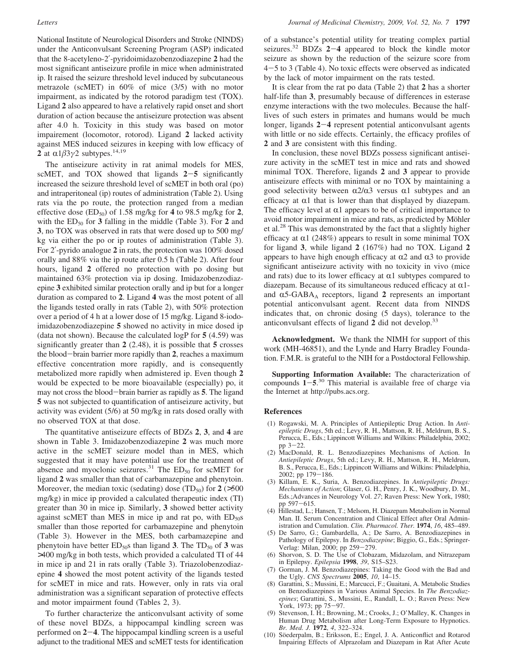National Institute of Neurological Disorders and Stroke (NINDS) under the Anticonvulsant Screening Program (ASP) indicated that the 8-acetyleno-2′-pyridoimidazobenzodiazepine **2** had the most significant antiseizure profile in mice when administrated ip. It raised the seizure threshold level induced by subcutaneous metrazole (scMET) in 60% of mice (3/5) with no motor impairment, as indicated by the rotorod paradigm test (TOX). Ligand **2** also appeared to have a relatively rapid onset and short duration of action because the antiseizure protection was absent after 4.0 h. Toxicity in this study was based on motor impairement (locomotor, rotorod). Ligand **2** lacked activity against MES induced seizures in keeping with low efficacy of **2** at α1β3γ2 subtypes.<sup>14,19</sup>

The antiseizure activity in rat animal models for MES, scMET, and TOX showed that ligands **<sup>2</sup>**-**<sup>5</sup>** significantly increased the seizure threshold level of scMET in both oral (po) and intraperitoneal (ip) routes of administration (Table 2). Using rats via the po route, the protection ranged from a median effective dose  $(ED_{50})$  of 1.58 mg/kg for 4 to 98.5 mg/kg for 2, with the  $ED_{50}$  for **3** falling in the middle (Table 3). For **2** and **3**, no TOX was observed in rats that were dosed up to 500 mg/ kg via either the po or ip routes of administration (Table 3). For 2′-pyrido analogue **2** in rats, the protection was 100% dosed orally and 88% via the ip route after 0.5 h (Table 2). After four hours, ligand **2** offered no protection with po dosing but maintained 63% protection via ip dosing. Imidazobenzodiazepine **3** exhibited similar protection orally and ip but for a longer duration as compared to **2**. Ligand **4** was the most potent of all the ligands tested orally in rats (Table 2), with 50% protection over a period of 4 h at a lower dose of 15 mg/kg. Ligand 8-iodoimidazobenzodiazepine **5** showed no activity in mice dosed ip (data not shown). Because the calculated logP for **5** (4.59) was significantly greater than **2** (2.48), it is possible that **5** crosses the blood-brain barrier more rapidly than **<sup>2</sup>**, reaches a maximum effective concentration more rapidly, and is consequently metabolized more rapidly when admistered ip. Even though **2** would be expected to be more bioavailable (especially) po, it may not cross the blood-brain barrier as rapidly as **<sup>5</sup>**. The ligand **5** was not subjected to quantification of antiseizure activity, but activity was evident (5/6) at 50 mg/kg in rats dosed orally with no observed TOX at that dose.

The quantitative antiseizure effects of BDZs **2**, **3**, and **4** are shown in Table 3. Imidazobenzodiazepine **2** was much more active in the scMET seizure model than in MES, which suggested that it may have potential use for the treatment of absence and myoclonic seizures.<sup>31</sup> The  $ED_{50}$  for scMET for ligand **2** was smaller than that of carbamazepine and phenytoin. Moreover, the median toxic (sedating) dose  $(TD_{50})$  for  $2$  ( $>500$ mg/kg) in mice ip provided a calculated therapeutic index (TI) greater than 30 in mice ip. Similarly, **3** showed better activity against scMET than MES in mice ip and rat po, with  $ED_{50}$ s smaller than those reported for carbamazepine and phenytoin (Table 3). However in the MES, both carbamazepine and phenytoin have better  $ED_{50}$ s than ligand **3**. The  $TD_{50}$  of **3** was >400 mg/kg in both tests, which provided a calculated TI of 44 in mice ip and 21 in rats orally (Table 3). Triazolobenzodiazepine **4** showed the most potent activity of the ligands tested for scMET in mice and rats. However, only in rats via oral administration was a significant separation of protective effects and motor impairment found (Tables 2, 3).

To further characterize the anticonvulsant activity of some of these novel BDZs, a hippocampal kindling screen was performed on **<sup>2</sup>**-**4**. The hippocampal kindling screen is a useful adjunct to the traditional MES and scMET tests for identification of a substance's potential utility for treating complex partial seizures.32 BDZs **<sup>2</sup>**-**<sup>4</sup>** appeared to block the kindle motor seizure as shown by the reduction of the seizure score from <sup>4</sup>-5 to 3 (Table 4). No toxic effects were observed as indicated by the lack of motor impairment on the rats tested.

It is clear from the rat po data (Table 2) that **2** has a shorter half-life than **3**, presumably because of differences in esterase enzyme interactions with the two molecules. Because the halflives of such esters in primates and humans would be much longer, ligands **<sup>2</sup>**-**<sup>4</sup>** represent potential anticonvulsant agents with little or no side effects. Certainly, the efficacy profiles of **2** and **3** are consistent with this finding.

In conclusion, these novel BDZs possess significant antiseizure activity in the scMET test in mice and rats and showed minimal TOX. Therefore, ligands **2** and **3** appear to provide antiseizure effects with minimal or no TOX by maintaining a good selectivity between  $\alpha$ 2/ $\alpha$ 3 versus  $\alpha$ 1 subtypes and an efficacy at  $\alpha$ 1 that is lower than that displayed by diazepam. The efficacy level at  $\alpha$ 1 appears to be of critical importance to avoid motor impairment in mice and rats, as predicted by Möhler et al.28 This was demonstrated by the fact that a slightly higher efficacy at  $\alpha$ 1 (248%) appears to result in some minimal TOX for ligand **3**, while ligand **2** (167%) had no TOX. Ligand **2** appears to have high enough efficacy at  $\alpha$ 2 and  $\alpha$ 3 to provide significant antiseizure activity with no toxicity in vivo (mice and rats) due to its lower efficacy at  $\alpha$ 1 subtypes compared to diazepam. Because of its simultaneous reduced efficacy at  $\alpha$ 1and  $\alpha$ 5-GABA<sub>A</sub> receptors, ligand 2 represents an important potential anticonvulsant agent. Recent data from NINDS indicates that, on chronic dosing (5 days), tolerance to the anticonvulsant effects of ligand **2** did not develop.33

**Acknowledgment.** We thank the NIMH for support of this work (MH-46851), and the Lynde and Harry Bradley Foundation. F.M.R. is grateful to the NIH for a Postdoctoral Fellowship.

**Supporting Information Available:** The characterization of compounds  $1-5^{30}$  This material is available free of charge via<br>the Internet at http://pubs.acs.org the Internet at http://pubs.acs.org.

## **References**

- (1) Rogawski, M. A. Principles of Antiepileptic Drug Action. In *Antiepileptic Drugs*, 5th ed.; Levy, R. H., Mattson, R. H., Meldrum, B. S., Perucca, E., Eds.; Lippincott Williams and Wilkins: Philadelphia, 2002; pp 3-22. (2) MacDonald, R. L. Benzodiazepines Mechanisms of Action. In
- *Antiepileptic Drugs*, 5th ed.; Levy, R. H., Mattson, R. H., Meldrum, B. S., Perucca, E., Eds.; Lippincott Williams and Wilkins: Philadelphia,
- 2002; pp 179-186. (3) Killam, E. K., Suria, A. Benzodiazepines. In *Antiepileptic Drugs: Mechanisms of Action*; Glaser, G. H., Penry, J. K., Woodbury, D. M., Eds.;Advances in Neurology Vol. *27*; Raven Press: New York, 1980; pp 597-615.
- (4) Hillestad, L.; Hansen, T.; Melsom, H. Diazepam Metabolism in Normal Man. II. Serum Concentration and Clinical Effect after Oral Administration and Cumulation. *Clin. Pharmacol. Ther.* **1974**, *16*, 485–489.
- (5) De Sarro, G.; Gambardella, A.; De Sarro, A. Benzodiazepines in Pathology of Epilepsy. In *Benzodiazepine*; Biggio, G., Eds.; Springer-Verlag: Milan, 2000; pp 259-279.
- (6) Shorvon, S. D. The Use of Clobazam, Midazolam, and Nitrazepam in Epilepsy. *Epilepsia* **1998**, *39*, S15–S23.
- (7) Gorman, J. M. Benzodiazepines: Taking the Good with the Bad and the Ugly. *CNS Spectrums* **2005**, *10*, 14–15.
- (8) Garattini, S.; Mussini, E.; Marcucci, F.; Guaitani, A. Metabolic Studies on Benzodiazepines in Various Animal Species. In *The Benzodiazepines*; Garattini, S., Mussini, E., Randall, L. O.; Raven Press: New York, 1973; pp 75-97.
- (9) Stevenson, I. H.; Browning, M.; Crooks, J.; O'Malley, K. Changes in Human Drug Metabolism after Long-Term Exposure to Hypnotics. *Br. Med. J.* **1972**, *4*, 322–324.
- (10) Söederpalm, B.; Eriksson, E.; Engel, J. A. Anticonflict and Rotarod Impairing Effects of Alprazolam and Diazepam in Rat After Acute